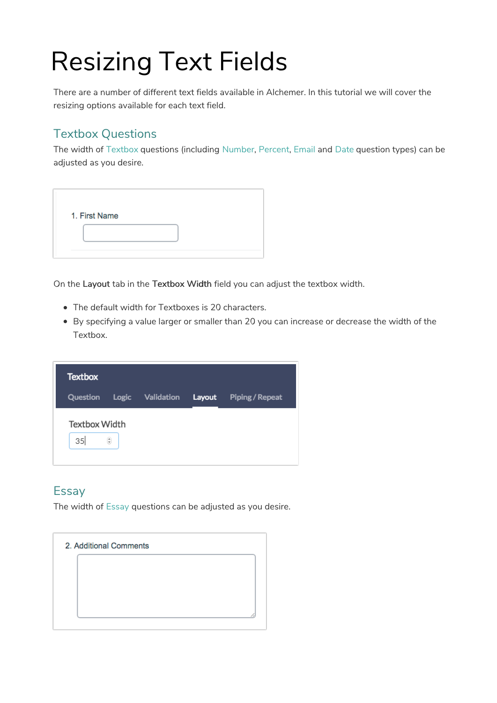# Resizing Text Fields

There are a number of different text fields available in Alchemer. In this tutorial we will cover the resizing options available for each text field.

# Textbox Questions

The width of Textbox questions (including Number, Percent, Email and Date question types) can be adjusted as you desire.

| 1. First Name |  |  |  |
|---------------|--|--|--|
|               |  |  |  |
|               |  |  |  |

On the Layout tab in the Textbox Width field you can adjust the textbox width.

- The default width for Textboxes is 20 characters.
- By specifying a value larger or smaller than 20 you can increase or decrease the width of the Textbox.

| <b>Textbox</b>             |                    |                  |        |                 |
|----------------------------|--------------------|------------------|--------|-----------------|
| Question                   |                    | Logic Validation | Layout | Piping / Repeat |
| <b>Textbox Width</b><br>35 | $\hat{\mathbb{V}}$ |                  |        |                 |

## **Essay**

The width of Essay questions can be adjusted as you desire.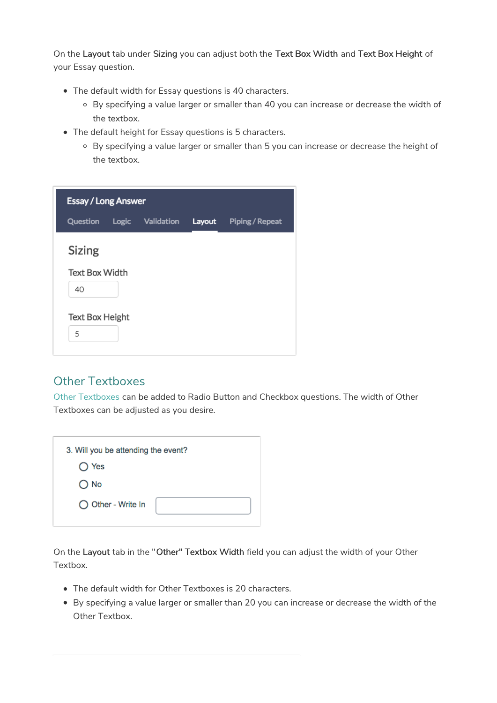On the Layout tab under Sizing you can adjust both the Text Box Width and Text Box Height of your Essay question.

- The default width for Essay questions is 40 characters.
	- By specifying a value larger or smaller than 40 you can increase or decrease the width of the textbox.
- The default height for Essay questions is 5 characters.
	- By specifying a value larger or smaller than 5 you can increase or decrease the height of the textbox.

| <b>Essay / Long Answer</b>  |                  |        |                 |
|-----------------------------|------------------|--------|-----------------|
| Question                    | Logic Validation | Layout | Piping / Repeat |
| Sizing                      |                  |        |                 |
| <b>Text Box Width</b><br>40 |                  |        |                 |
| <b>Text Box Height</b><br>5 |                  |        |                 |

### Other Textboxes

Other Textboxes can be added to Radio Button and Checkbox questions. The width of Other Textboxes can be adjusted as you desire.

| 3. Will you be attending the event? |  |
|-------------------------------------|--|
| $\bigcirc$ Yes                      |  |
| $\bigcirc$ No                       |  |
| ◯ Other - Write In                  |  |

On the Layout tab in the "Other" Textbox Width field you can adjust the width of your Other Textbox.

- The default width for Other Textboxes is 20 characters.
- By specifying a value larger or smaller than 20 you can increase or decrease the width of the Other Textbox.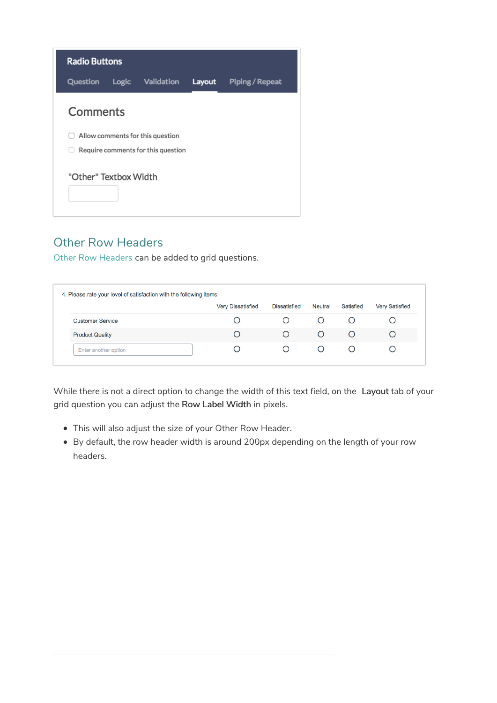| <b>Radio Buttons</b>  |       |                                    |        |                 |
|-----------------------|-------|------------------------------------|--------|-----------------|
| Question              | Logic | Validation                         | Layout | Piping / Repeat |
| Comments              |       |                                    |        |                 |
|                       |       | Allow comments for this question   |        |                 |
|                       |       | Require comments for this question |        |                 |
| "Other" Textbox Width |       |                                    |        |                 |

## Other Row Headers

Other Row Headers can be added to grid questions.

|                         | <b>Very Dissatisfied</b> | <b>Dissatisfied</b> | Neutral | Satisfied | <b>Very Satisfied</b> |
|-------------------------|--------------------------|---------------------|---------|-----------|-----------------------|
| <b>Customer Service</b> |                          |                     |         |           |                       |
| <b>Product Quality</b>  | Ω                        |                     |         |           |                       |
| Enter another option    |                          |                     |         |           |                       |

While there is not a direct option to change the width of this text field, on the Layout tab of your grid question you can adjust the Row Label Width in pixels.

- This will also adjust the size of your Other Row Header.
- By default, the row header width is around 200px depending on the length of your row headers.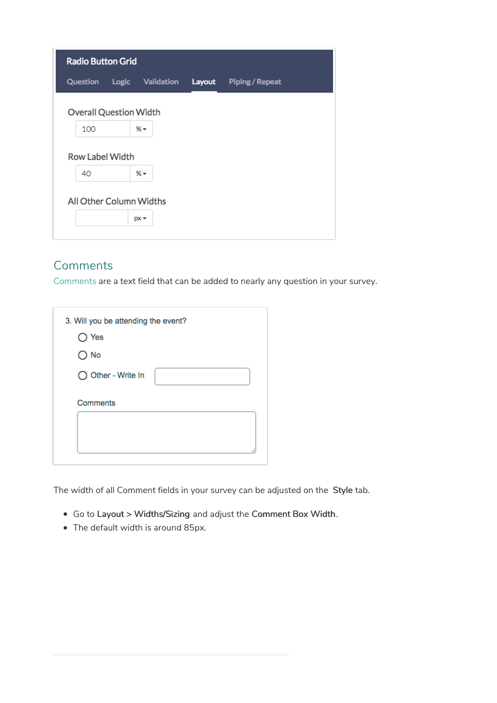| <b>Radio Button Grid</b>      |       |            |        |                 |  |
|-------------------------------|-------|------------|--------|-----------------|--|
| Question                      | Logic | Validation | Layout | Piping / Repeat |  |
| <b>Overall Question Width</b> |       |            |        |                 |  |
| 100                           |       | %~         |        |                 |  |
| Row Label Width               |       |            |        |                 |  |
| 40                            |       | %~         |        |                 |  |
| All Other Column Widths       |       | $px -$     |        |                 |  |

# **Comments**

Comments are a text field that can be added to nearly any question in your survey.

| 3. Will you be attending the event? |  |
|-------------------------------------|--|
| $\bigcirc$ Yes                      |  |
| $\bigcirc$ No                       |  |
| ◯ Other - Write In                  |  |
| <b>Comments</b>                     |  |

The width of all Comment fields in your survey can be adjusted on the Style tab.

- Go to Layout > Widths/Sizing and adjust the Comment Box Width.
- The default width is around 85px.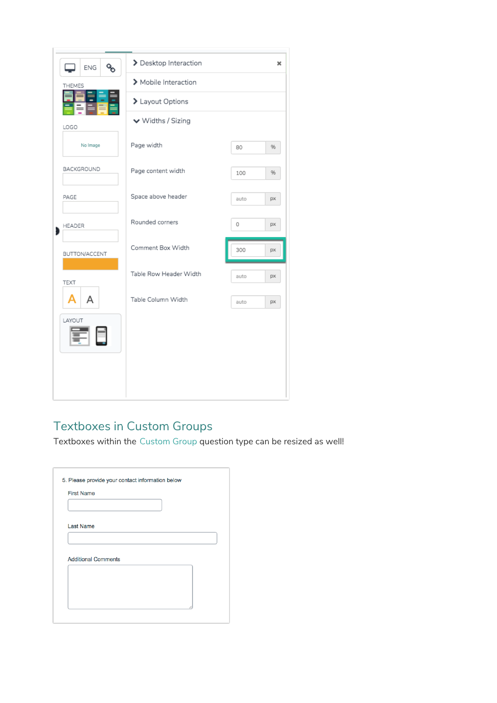| oo<br><b>ENG</b> | > Desktop Interaction  |      | ×  |
|------------------|------------------------|------|----|
| THEMES           | > Mobile Interaction   |      |    |
|                  | > Layout Options       |      |    |
| LOGO             | ↓ Widths / Sizing      |      |    |
| No Image         | Page width             | 80   | %  |
| BACKGROUND       | Page content width     | 100  | 96 |
| PAGE             | Space above header     | auto | px |
| HEADER           | Rounded corners        | 0    | px |
| BUTTON/ACCENT    | Comment Box Width      | 300  | px |
| TEXT             | Table Row Header Width | auto | px |
| A<br>Δ           | Table Column Width     | auto | px |
| LAYOUT           |                        |      |    |
|                  |                        |      |    |
|                  |                        |      |    |
|                  |                        |      |    |

# Textboxes in Custom Groups

Textboxes within the Custom Group question type can be resized as well!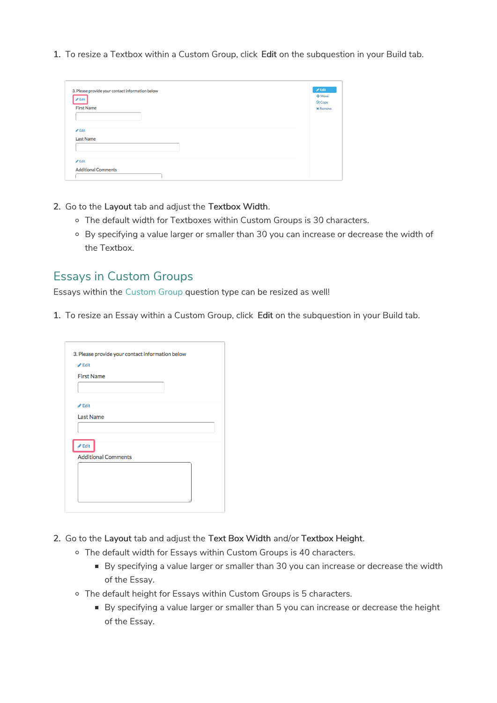1. To resize a Textbox within a Custom Group, click Edit on the subquestion in your Build tab.

| 3. Please provide your contact information below<br>$\blacktriangleright$ Edit | $\mathscr{P}$ Edit<br>$+$ Move |
|--------------------------------------------------------------------------------|--------------------------------|
|                                                                                | <b><i><u>Ch</u>Copy</i></b>    |
| <b>First Name</b>                                                              | <b>x</b> Remove                |
|                                                                                |                                |
|                                                                                |                                |
|                                                                                |                                |
| $\ell$ Edit                                                                    |                                |
| <b>Last Name</b>                                                               |                                |
|                                                                                |                                |
|                                                                                |                                |
|                                                                                |                                |
| $\ell$ Edit                                                                    |                                |
|                                                                                |                                |

- 2. Go to the Layout tab and adjust the Textbox Width.
	- The default width for Textboxes within Custom Groups is 30 characters.
	- By specifying a value larger or smaller than 30 you can increase or decrease the width of the Textbox.

#### Essays in Custom Groups

Essays within the Custom Group question type can be resized as well!

1. To resize an Essay within a Custom Group, click Edit on the subquestion in your Build tab.

| $\triangle$ Edit           |  |  |
|----------------------------|--|--|
| <b>First Name</b>          |  |  |
|                            |  |  |
|                            |  |  |
| $\triangle$ Edit           |  |  |
| <b>Last Name</b>           |  |  |
|                            |  |  |
| $\triangle$ Edit           |  |  |
| <b>Additional Comments</b> |  |  |
|                            |  |  |
|                            |  |  |
|                            |  |  |

- 2. Go to the Layout tab and adjust the Text Box Width and/or Textbox Height.
	- o The default width for Essays within Custom Groups is 40 characters.
		- By specifying a value larger or smaller than 30 you can increase or decrease the width of the Essay.
	- The default height for Essays within Custom Groups is 5 characters.
		- By specifying a value larger or smaller than 5 you can increase or decrease the height of the Essay.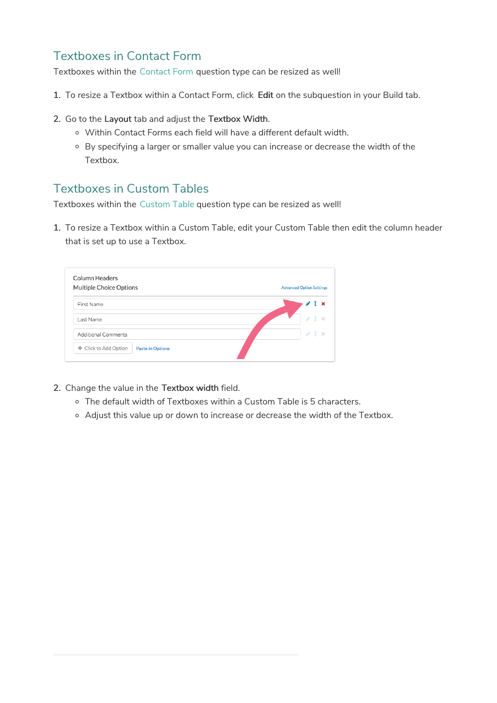# Textboxes in Contact Form

Textboxes within the Contact Form question type can be resized as well!

- 1. To resize a Textbox within a Contact Form, click Edit on the subquestion in your Build tab.
- 2. Go to the Layout tab and adjust the Textbox Width.
	- Within Contact Forms each field will have a different default width.
	- By specifying a larger or smaller value you can increase or decrease the width of the Textbox.

# Textboxes in Custom Tables

Textboxes within the Custom Table question type can be resized as well!

1. To resize a Textbox within a Custom Table, edit your Custom Table then edit the column header that is set up to use a Textbox.

| First Name          | $1 \times$               |
|---------------------|--------------------------|
|                     |                          |
| Last Name           | $\mathcal{P}$<br>$1 - x$ |
| Additional Comments | $\angle$ 1 $\times$      |

- 2. Change the value in the Textbox width field.
	- The default width of Textboxes within a Custom Table is 5 characters.
	- Adjust this value up or down to increase or decrease the width of the Textbox.